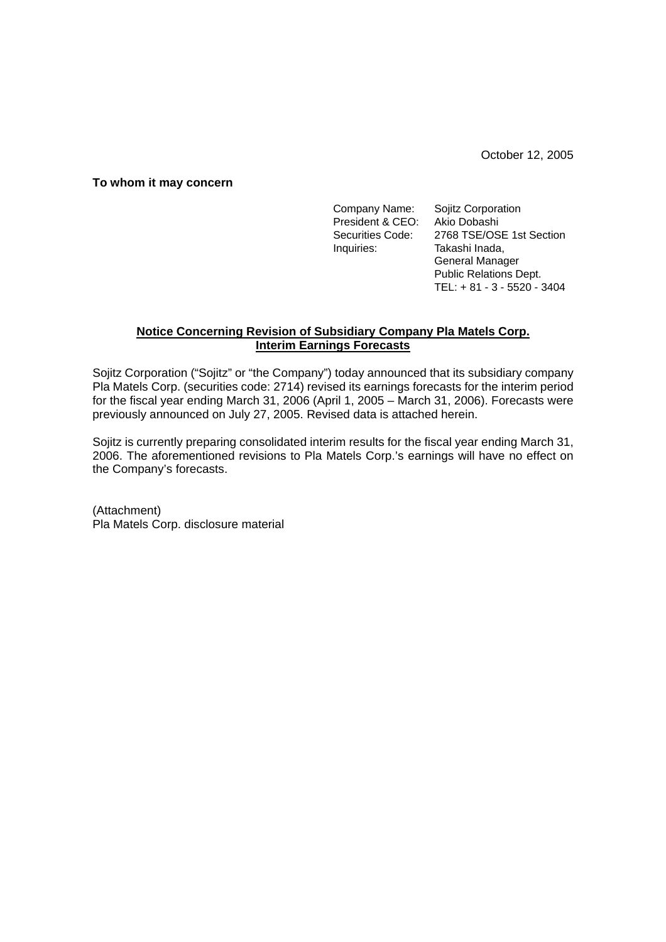October 12, 2005

### **To whom it may concern**

Company Name: Sojitz Corporation President & CEO: Akio Dobashi Securities Code: 2768 TSE/OSE 1st Section Inquiries: Takashi Inada, General Manager Public Relations Dept. TEL: + 81 - 3 - 5520 - 3404

# **Notice Concerning Revision of Subsidiary Company Pla Matels Corp. Interim Earnings Forecasts**

Sojitz Corporation ("Sojitz" or "the Company") today announced that its subsidiary company Pla Matels Corp. (securities code: 2714) revised its earnings forecasts for the interim period for the fiscal year ending March 31, 2006 (April 1, 2005 – March 31, 2006). Forecasts were previously announced on July 27, 2005. Revised data is attached herein.

Sojitz is currently preparing consolidated interim results for the fiscal year ending March 31, 2006. The aforementioned revisions to Pla Matels Corp.'s earnings will have no effect on the Company's forecasts.

(Attachment) Pla Matels Corp. disclosure material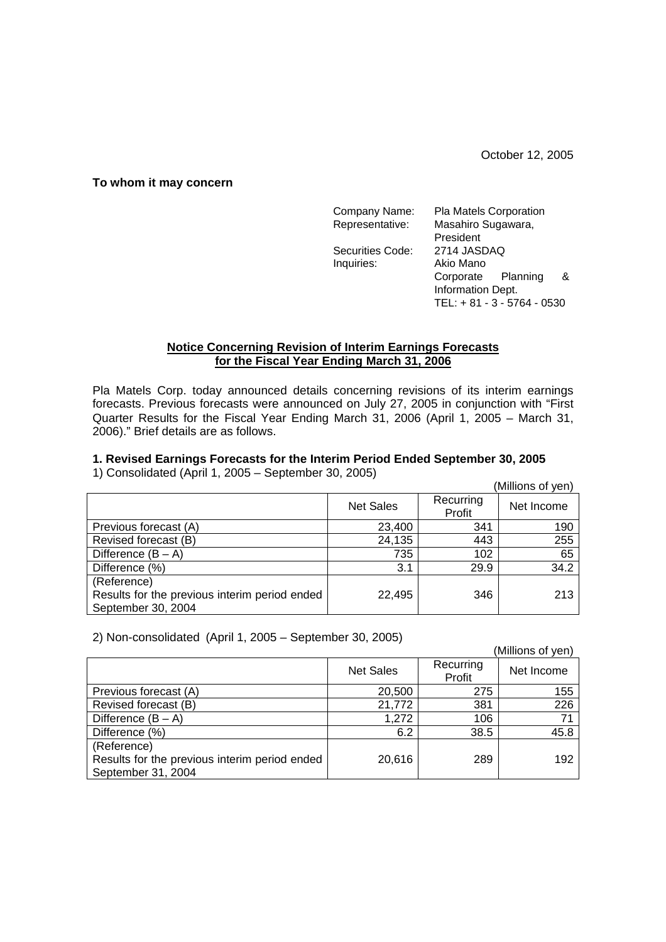October 12, 2005

### **To whom it may concern**

| Company Name:    | Pla Matels Corporation      |  |  |
|------------------|-----------------------------|--|--|
| Representative:  | Masahiro Sugawara,          |  |  |
|                  | President                   |  |  |
| Securities Code: | 2714 JASDAQ                 |  |  |
| Inquiries:       | Akio Mano                   |  |  |
|                  | Corporate Planning<br>&     |  |  |
|                  | Information Dept.           |  |  |
|                  | TEL: + 81 - 3 - 5764 - 0530 |  |  |

## **Notice Concerning Revision of Interim Earnings Forecasts for the Fiscal Year Ending March 31, 2006**

Pla Matels Corp. today announced details concerning revisions of its interim earnings forecasts. Previous forecasts were announced on July 27, 2005 in conjunction with "First Quarter Results for the Fiscal Year Ending March 31, 2006 (April 1, 2005 – March 31, 2006)." Brief details are as follows.

# **1. Revised Earnings Forecasts for the Interim Period Ended September 30, 2005**

1) Consolidated (April 1, 2005 – September 30, 2005)

| $\frac{1}{2}$ concentration $\frac{1}{2}$ is the $\frac{1}{2}$ core control concentration of $\frac{1}{2}$ |                  |                     | (Millions of yen) |
|------------------------------------------------------------------------------------------------------------|------------------|---------------------|-------------------|
|                                                                                                            | <b>Net Sales</b> | Recurring<br>Profit | Net Income        |
| Previous forecast (A)                                                                                      | 23,400           | 341                 | 190               |
| Revised forecast (B)                                                                                       | 24,135           | 443                 | 255               |
| Difference $(B - A)$                                                                                       | 735              | 102                 | 65                |
| Difference (%)                                                                                             | 3.1              | 29.9                | 34.2              |
| (Reference)                                                                                                |                  |                     |                   |
| Results for the previous interim period ended                                                              | 22,495           | 346                 | 213               |
| September 30, 2004                                                                                         |                  |                     |                   |

2) Non-consolidated (April 1, 2005 – September 30, 2005)

| $2)$ Non-consolidated (April 1, 2000 – Oepterliber 30, 2000) |                  |                     |                   |  |  |
|--------------------------------------------------------------|------------------|---------------------|-------------------|--|--|
|                                                              |                  |                     | (Millions of yen) |  |  |
|                                                              | <b>Net Sales</b> | Recurring<br>Profit | Net Income        |  |  |
| Previous forecast (A)                                        | 20,500           | 275                 | 155               |  |  |
| Revised forecast (B)                                         | 21,772           | 381                 | 226               |  |  |
| Difference $(B - A)$                                         | 1,272            | 106                 | 71                |  |  |
| Difference (%)                                               | 6.2              | 38.5                | 45.8              |  |  |
| (Reference)                                                  |                  |                     |                   |  |  |
| Results for the previous interim period ended                | 20,616           | 289                 | 192               |  |  |
| September 31, 2004                                           |                  |                     |                   |  |  |